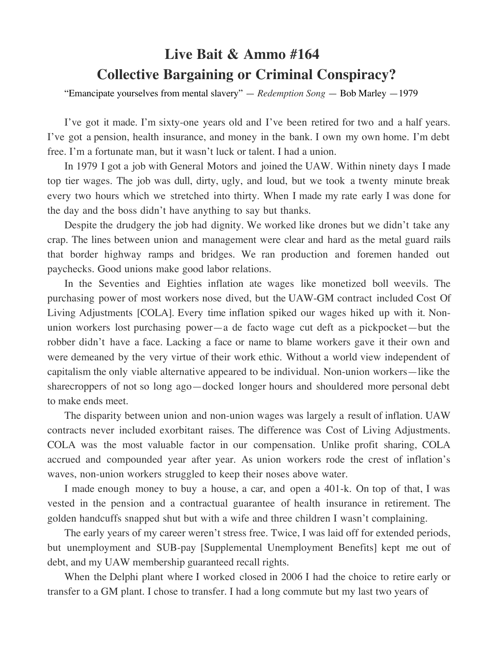## **Live Bait & Ammo #164 Collective Bargaining or Criminal Conspiracy?**

"Emancipate yourselves from mental slavery" — *Redemption Song* — Bob Marley —1979

I've got it made. I'm sixty-one years old and I've been retired for two and a half years. I've got a pension, health insurance, and money in the bank. I own my own home. I'm debt free. I'm a fortunate man, but it wasn't luck or talent. I had a union.

In 1979 I got a job with General Motors and joined the UAW. Within ninety days I made top tier wages. The job was dull, dirty, ugly, and loud, but we took a twenty minute break every two hours which we stretched into thirty. When I made my rate early I was done for the day and the boss didn't have anything to say but thanks.

Despite the drudgery the job had dignity. We worked like drones but we didn't take any crap. The lines between union and management were clear and hard as the metal guard rails that border highway ramps and bridges. We ran production and foremen handed out paychecks. Good unions make good labor relations.

In the Seventies and Eighties inflation ate wages like monetized boll weevils. The purchasing power of most workers nose dived, but the UAW-GM contract included Cost Of Living Adjustments [COLA]. Every time inflation spiked our wages hiked up with it. Nonunion workers lost purchasing power—a de facto wage cut deft as a pickpocket—but the robber didn't have a face. Lacking a face or name to blame workers gave it their own and were demeaned by the very virtue of their work ethic. Without a world view independent of capitalism the only viable alternative appeared to be individual. Non-union workers—like the sharecroppers of not so long ago—docked longer hours and shouldered more personal debt to make ends meet.

The disparity between union and non-union wages was largely a result of inflation. UAW contracts never included exorbitant raises. The difference was Cost of Living Adjustments. COLA was the most valuable factor in our compensation. Unlike profit sharing, COLA accrued and compounded year after year. As union workers rode the crest of inflation's waves, non-union workers struggled to keep their noses above water.

I made enough money to buy a house, a car, and open a 401-k. On top of that, I was vested in the pension and a contractual guarantee of health insurance in retirement. The golden handcuffs snapped shut but with a wife and three children I wasn't complaining.

The early years of my career weren't stress free. Twice, I was laid off for extended periods, but unemployment and SUB-pay [Supplemental Unemployment Benefits] kept me out of debt, and my UAW membership guaranteed recall rights.

When the Delphi plant where I worked closed in 2006 I had the choice to retire early or transfer to a GM plant. I chose to transfer. I had a long commute but my last two years of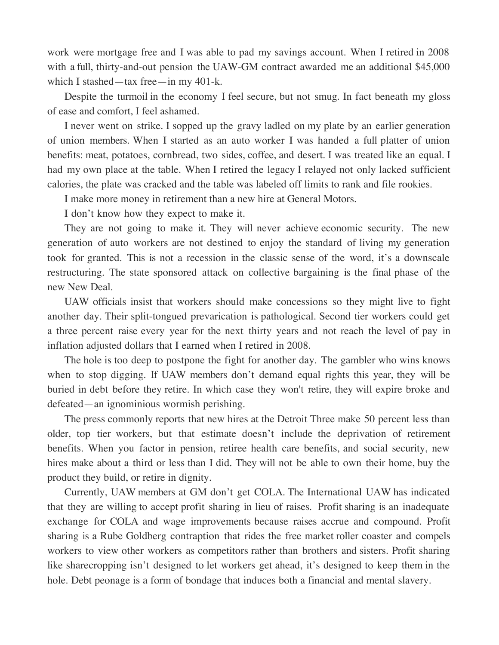work were mortgage free and I was able to pad my savings account. When I retired in 2008 with a full, thirty-and-out pension the UAW-GM contract awarded me an additional \$45,000 which I stashed—tax free—in my 401-k.

Despite the turmoil in the economy I feel secure, but not smug. In fact beneath my gloss of ease and comfort, I feel ashamed.

I never went on strike. I sopped up the gravy ladled on my plate by an earlier generation of union members. When I started as an auto worker I was handed a full platter of union benefits: meat, potatoes, cornbread, two sides, coffee, and desert. I was treated like an equal. I had my own place at the table. When I retired the legacy I relayed not only lacked sufficient calories, the plate was cracked and the table was labeled off limits to rank and file rookies.

I make more money in retirement than a new hire at General Motors.

I don't know how they expect to make it.

They are not going to make it. They will never achieve economic security. The new generation of auto workers are not destined to enjoy the standard of living my generation took for granted. This is not a recession in the classic sense of the word, it's a downscale restructuring. The state sponsored attack on collective bargaining is the final phase of the new New Deal.

UAW officials insist that workers should make concessions so they might live to fight another day. Their split-tongued prevarication is pathological. Second tier workers could get a three percent raise every year for the next thirty years and not reach the level of pay in inflation adjusted dollars that I earned when I retired in 2008.

The hole is too deep to postpone the fight for another day. The gambler who wins knows when to stop digging. If UAW members don't demand equal rights this year, they will be buried in debt before they retire. In which case they won't retire, they will expire broke and defeated—an ignominious wormish perishing.

The press commonly reports that new hires at the Detroit Three make 50 percent less than older, top tier workers, but that estimate doesn't include the deprivation of retirement benefits. When you factor in pension, retiree health care benefits, and social security, new hires make about a third or less than I did. They will not be able to own their home, buy the product they build, or retire in dignity.

Currently, UAW members at GM don't get COLA. The International UAW has indicated that they are willing to accept profit sharing in lieu of raises. Profit sharing is an inadequate exchange for COLA and wage improvements because raises accrue and compound. Profit sharing is a Rube Goldberg contraption that rides the free market roller coaster and compels workers to view other workers as competitors rather than brothers and sisters. Profit sharing like sharecropping isn't designed to let workers get ahead, it's designed to keep them in the hole. Debt peonage is a form of bondage that induces both a financial and mental slavery.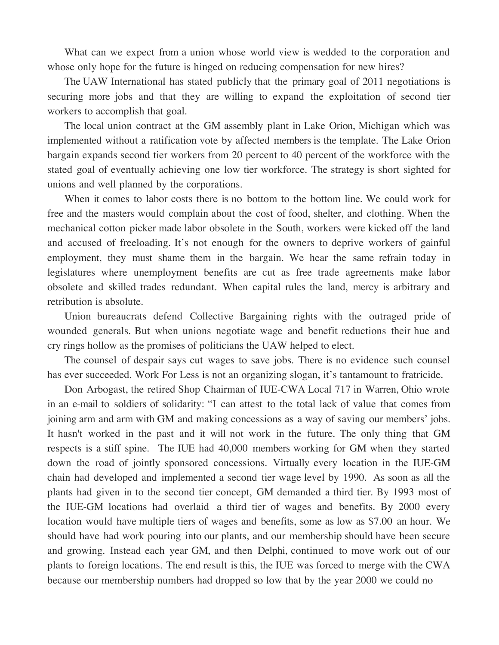What can we expect from a union whose world view is wedded to the corporation and whose only hope for the future is hinged on reducing compensation for new hires?

The UAW International has stated publicly that the primary goal of 2011 negotiations is securing more jobs and that they are willing to expand the exploitation of second tier workers to accomplish that goal.

The local union contract at the GM assembly plant in Lake Orion, Michigan which was implemented without a ratification vote by affected members is the template. The Lake Orion bargain expands second tier workers from 20 percent to 40 percent of the workforce with the stated goal of eventually achieving one low tier workforce. The strategy is short sighted for unions and well planned by the corporations.

When it comes to labor costs there is no bottom to the bottom line. We could work for free and the masters would complain about the cost of food, shelter, and clothing. When the mechanical cotton picker made labor obsolete in the South, workers were kicked off the land and accused of freeloading. It's not enough for the owners to deprive workers of gainful employment, they must shame them in the bargain. We hear the same refrain today in legislatures where unemployment benefits are cut as free trade agreements make labor obsolete and skilled trades redundant. When capital rules the land, mercy is arbitrary and retribution is absolute.

Union bureaucrats defend Collective Bargaining rights with the outraged pride of wounded generals. But when unions negotiate wage and benefit reductions their hue and cry rings hollow as the promises of politicians the UAW helped to elect.

The counsel of despair says cut wages to save jobs. There is no evidence such counsel has ever succeeded. Work For Less is not an organizing slogan, it's tantamount to fratricide.

Don Arbogast, the retired Shop Chairman of IUE-CWA Local 717 in Warren, Ohio wrote in an e-mail to soldiers of solidarity: "I can attest to the total lack of value that comes from joining arm and arm with GM and making concessions as a way of saving our members' jobs. It hasn't worked in the past and it will not work in the future. The only thing that GM respects is a stiff spine. The IUE had 40,000 members working for GM when they started down the road of jointly sponsored concessions. Virtually every location in the IUE-GM chain had developed and implemented a second tier wage level by 1990. As soon as all the plants had given in to the second tier concept, GM demanded a third tier. By 1993 most of the IUE-GM locations had overlaid a third tier of wages and benefits. By 2000 every location would have multiple tiers of wages and benefits, some as low as \$7.00 an hour. We should have had work pouring into our plants, and our membership should have been secure and growing. Instead each year GM, and then Delphi, continued to move work out of our plants to foreign locations. The end result is this, the IUE was forced to merge with the CWA because our membership numbers had dropped so low that by the year 2000 we could no